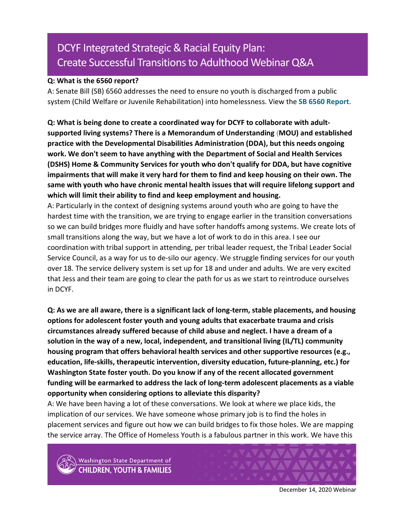# DCYF Integrated Strategic & Racial Equity Plan: Create Successful Transitions to Adulthood Webinar Q&A

#### **Q: What is the 6560 report?**

A: Senate Bill (SB) 6560 addresses the need to ensure no youth is discharged from a public system (Child Welfare or Juvenile Rehabilitation) into homelessness. View the **[SB 6560 Report](http://lawfilesext.leg.wa.gov/biennium/2017-18/Pdf/Bill%20Reports/Senate/6560-S%20SBR%20FBR%2018.pdf?q=20210203145703)**.

**Q: What is being done to create a coordinated way for DCYF to collaborate with adultsupported living systems? There is a Memorandum of Understanding** (**MOU) and established practice with the Developmental Disabilities Administration (DDA), but this needs ongoing work. We don't seem to have anything with the Department of Social and Health Services (DSHS) Home & Community Services for youth who don't qualify for DDA, but have cognitive impairments that will make it very hard for them to find and keep housing on their own. The same with youth who have chronic mental health issues that will require lifelong support and which will limit their ability to find and keep employment and housing.**

A: Particularly in the context of designing systems around youth who are going to have the hardest time with the transition, we are trying to engage earlier in the transition conversations so we can build bridges more fluidly and have softer handoffs among systems. We create lots of small transitions along the way, but we have a lot of work to do in this area. I see our coordination with tribal support in attending, per tribal leader request, the Tribal Leader Social Service Council, as a way for us to de-silo our agency. We struggle finding services for our youth over 18. The service delivery system is set up for 18 and under and adults. We are very excited that Jess and their team are going to clear the path for us as we start to reintroduce ourselves in DCYF.

**Q: As we are all aware, there is a significant lack of long-term, stable placements, and housing options for adolescent foster youth and young adults that exacerbate trauma and crisis circumstances already suffered because of child abuse and neglect. I have a dream of a solution in the way of a new, local, independent, and transitional living (IL/TL) community housing program that offers behavioral health services and other supportive resources (e.g., education, life-skills, therapeutic intervention, diversity education, future-planning, etc.) for Washington State foster youth. Do you know if any of the recent allocated government funding will be earmarked to address the lack of long-term adolescent placements as a viable opportunity when considering options to alleviate this disparity?**

A: We have been having a lot of these conversations. We look at where we place kids, the implication of our services. We have someone whose primary job is to find the holes in placement services and figure out how we can build bridges to fix those holes. We are mapping the service array. The Office of Homeless Youth is a fabulous partner in this work. We have this



Washington State Department of **HILDREN, YOUTH & FAMILIES** 



December 14, 2020 Webinar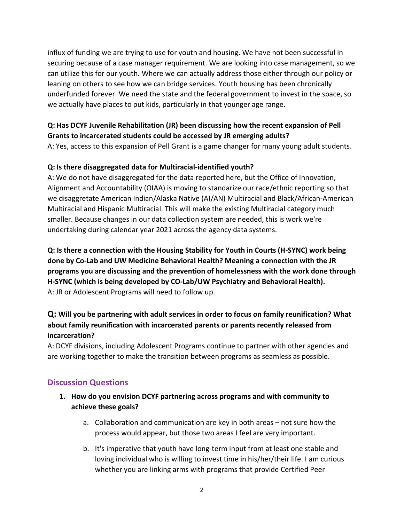influx of funding we are trying to use for youth and housing. We have not been successful in securing because of a case manager requirement. We are looking into case management, so we can utilize this for our youth. Where we can actually address those either through our policy or leaning on others to see how we can bridge services. Youth housing has been chronically underfunded forever. We need the state and the federal government to invest in the space, so we actually have places to put kids, particularly in that younger age range.

# **Q: Has DCYF Juvenile Rehabilitation (JR) been discussing how the recent expansion of Pell Grants to incarcerated students could be accessed by JR emerging adults?**

A: Yes, access to this expansion of Pell Grant is a game changer for many young adult students.

## **Q: Is there disaggregated data for Multiracial-identified youth?**

A: We do not have disaggregated for the data reported here, but the Office of Innovation, Alignment and Accountability (OIAA) is moving to standarize our race/ethnic reporting so that we disaggretate American Indian/Alaska Native (AI/AN) Multiracial and Black/African-American Multiracial and Hispanic Multiracial. This will make the existing Multiracial category much smaller. Because changes in our data collection system are needed, this is work we're undertaking during calendar year 2021 across the agency data systems.

**Q: Is there a connection with the Housing Stability for Youth in Courts (H-SYNC) work being done by Co-Lab and UW Medicine Behavioral Health? Meaning a connection with the JR programs you are discussing and the prevention of homelessness with the work done through H-SYNC (which is being developed by CO-Lab/UW Psychiatry and Behavioral Health).** A: JR or Adolescent Programs will need to follow up.

# **Q: Will you be partnering with adult services in order to focus on family reunification? What about family reunification with incarcerated parents or parents recently released from incarceration?**

A: DCYF divisions, including Adolescent Programs continue to partner with other agencies and are working together to make the transition between programs as seamless as possible.

# **Discussion Questions**

- **1. How do you envision DCYF partnering across programs and with community to achieve these goals?**
	- a. Collaboration and communication are key in both areas not sure how the process would appear, but those two areas I feel are very important.
	- b. It's imperative that youth have long-term input from at least one stable and loving individual who is willing to invest time in his/her/their life. I am curious whether you are linking arms with programs that provide Certified Peer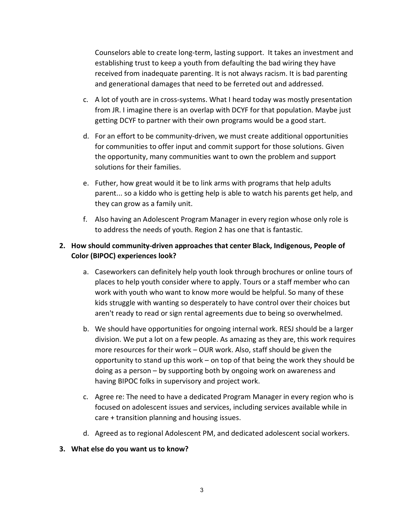Counselors able to create long-term, lasting support. It takes an investment and establishing trust to keep a youth from defaulting the bad wiring they have received from inadequate parenting. It is not always racism. It is bad parenting and generational damages that need to be ferreted out and addressed.

- c. A lot of youth are in cross-systems. What I heard today was mostly presentation from JR. I imagine there is an overlap with DCYF for that population. Maybe just getting DCYF to partner with their own programs would be a good start.
- d. For an effort to be community-driven, we must create additional opportunities for communities to offer input and commit support for those solutions. Given the opportunity, many communities want to own the problem and support solutions for their families.
- e. Futher, how great would it be to link arms with programs that help adults parent... so a kiddo who is getting help is able to watch his parents get help, and they can grow as a family unit.
- f. Also having an Adolescent Program Manager in every region whose only role is to address the needs of youth. Region 2 has one that is fantastic.

### **2. How should community-driven approaches that center Black, Indigenous, People of Color (BIPOC) experiences look?**

- a. Caseworkers can definitely help youth look through brochures or online tours of places to help youth consider where to apply. Tours or a staff member who can work with youth who want to know more would be helpful. So many of these kids struggle with wanting so desperately to have control over their choices but aren't ready to read or sign rental agreements due to being so overwhelmed.
- b. We should have opportunities for ongoing internal work. RESJ should be a larger division. We put a lot on a few people. As amazing as they are, this work requires more resources for their work – OUR work. Also, staff should be given the opportunity to stand up this work – on top of that being the work they should be doing as a person – by supporting both by ongoing work on awareness and having BIPOC folks in supervisory and project work.
- c. Agree re: The need to have a dedicated Program Manager in every region who is focused on adolescent issues and services, including services available while in care + transition planning and housing issues.
- d. Agreed as to regional Adolescent PM, and dedicated adolescent social workers.

#### **3. What else do you want us to know?**